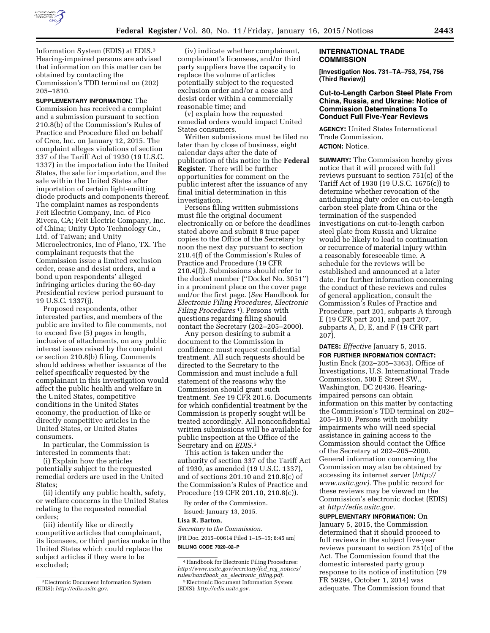

Information System (EDIS) at EDIS.3 Hearing-impaired persons are advised that information on this matter can be obtained by contacting the Commission's TDD terminal on (202) 205–1810.

**SUPPLEMENTARY INFORMATION:** The Commission has received a complaint and a submission pursuant to section 210.8(b) of the Commission's Rules of Practice and Procedure filed on behalf of Cree, Inc. on January 12, 2015. The complaint alleges violations of section 337 of the Tariff Act of 1930 (19 U.S.C. 1337) in the importation into the United States, the sale for importation, and the sale within the United States after importation of certain light-emitting diode products and components thereof. The complaint names as respondents Feit Electric Company, Inc. of Pico Rivera, CA; Feit Electric Company, Inc. of China; Unity Opto Technology Co., Ltd. of Taiwan; and Unity Microelectronics, Inc of Plano, TX. The complainant requests that the Commission issue a limited exclusion order, cease and desist orders, and a bond upon respondents' alleged infringing articles during the 60-day Presidential review period pursuant to 19 U.S.C. 1337(j).

Proposed respondents, other interested parties, and members of the public are invited to file comments, not to exceed five (5) pages in length, inclusive of attachments, on any public interest issues raised by the complaint or section 210.8(b) filing. Comments should address whether issuance of the relief specifically requested by the complainant in this investigation would affect the public health and welfare in the United States, competitive conditions in the United States economy, the production of like or directly competitive articles in the United States, or United States consumers.

In particular, the Commission is interested in comments that:

(i) Explain how the articles potentially subject to the requested remedial orders are used in the United States;

(ii) identify any public health, safety, or welfare concerns in the United States relating to the requested remedial orders;

(iii) identify like or directly competitive articles that complainant, its licensees, or third parties make in the United States which could replace the subject articles if they were to be excluded;

(iv) indicate whether complainant, complainant's licensees, and/or third party suppliers have the capacity to replace the volume of articles potentially subject to the requested exclusion order and/or a cease and desist order within a commercially reasonable time; and

(v) explain how the requested remedial orders would impact United States consumers.

Written submissions must be filed no later than by close of business, eight calendar days after the date of publication of this notice in the **Federal Register**. There will be further opportunities for comment on the public interest after the issuance of any final initial determination in this investigation.

Persons filing written submissions must file the original document electronically on or before the deadlines stated above and submit 8 true paper copies to the Office of the Secretary by noon the next day pursuant to section 210.4(f) of the Commission's Rules of Practice and Procedure (19 CFR 210.4(f)). Submissions should refer to the docket number (''Docket No. 3051'') in a prominent place on the cover page and/or the first page. (*See* Handbook for *Electronic Filing Procedures, Electronic Filing Procedures* 4). Persons with questions regarding filing should contact the Secretary (202–205–2000).

Any person desiring to submit a document to the Commission in confidence must request confidential treatment. All such requests should be directed to the Secretary to the Commission and must include a full statement of the reasons why the Commission should grant such treatment. *See* 19 CFR 201.6. Documents for which confidential treatment by the Commission is properly sought will be treated accordingly. All nonconfidential written submissions will be available for public inspection at the Office of the Secretary and on *EDIS*.5

This action is taken under the authority of section 337 of the Tariff Act of 1930, as amended (19 U.S.C. 1337), and of sections 201.10 and 210.8(c) of the Commission's Rules of Practice and Procedure (19 CFR 201.10, 210.8(c)).

By order of the Commission.

Issued: January 13, 2015. **Lisa R. Barton,** 

*Secretary to the Commission.* 

[FR Doc. 2015–00614 Filed 1–15–15; 8:45 am] **BILLING CODE 7020–02–P** 

#### **INTERNATIONAL TRADE COMMISSION**

**[Investigation Nos. 731–TA–753, 754, 756 (Third Review)]** 

# **Cut-to-Length Carbon Steel Plate From China, Russia, and Ukraine: Notice of Commission Determinations To Conduct Full Five-Year Reviews**

**AGENCY:** United States International Trade Commission. **ACTION:** Notice.

**SUMMARY:** The Commission hereby gives notice that it will proceed with full reviews pursuant to section 751(c) of the Tariff Act of 1930 (19 U.S.C. 1675(c)) to determine whether revocation of the antidumping duty order on cut-to-length carbon steel plate from China or the termination of the suspended investigations on cut-to-length carbon steel plate from Russia and Ukraine would be likely to lead to continuation or recurrence of material injury within a reasonably foreseeable time. A schedule for the reviews will be established and announced at a later date. For further information concerning the conduct of these reviews and rules of general application, consult the Commission's Rules of Practice and Procedure, part 201, subparts A through E (19 CFR part 201), and part 207, subparts A, D, E, and F (19 CFR part 207).

**DATES:** *Effective* January 5, 2015. **FOR FURTHER INFORMATION CONTACT:**  Justin Enck (202–205–3363), Office of Investigations, U.S. International Trade Commission, 500 E Street SW., Washington, DC 20436. Hearingimpaired persons can obtain information on this matter by contacting the Commission's TDD terminal on 202– 205–1810. Persons with mobility impairments who will need special assistance in gaining access to the Commission should contact the Office of the Secretary at 202–205–2000. General information concerning the Commission may also be obtained by accessing its internet server (*[http://](http://www.usitc.gov) [www.usitc.gov\).](http://www.usitc.gov)* The public record for these reviews may be viewed on the Commission's electronic docket (EDIS) at *[http://edis.usitc.gov.](http://edis.usitc.gov)* 

**SUPPLEMENTARY INFORMATION:** On January 5, 2015, the Commission determined that it should proceed to full reviews in the subject five-year reviews pursuant to section 751(c) of the Act. The Commission found that the domestic interested party group response to its notice of institution (79 FR 59294, October 1, 2014) was adequate. The Commission found that

<sup>3</sup>Electronic Document Information System (EDIS): *[http://edis.usitc.gov.](http://edis.usitc.gov)* 

<sup>4</sup>Handbook for Electronic Filing Procedures: *[http://www.usitc.gov/secretary/fed](http://www.usitc.gov/secretary/fed_reg_notices/rules/handbook_on_electronic_filing.pdf)*\_*reg*\_*notices/ [rules/handbook](http://www.usitc.gov/secretary/fed_reg_notices/rules/handbook_on_electronic_filing.pdf)*\_*on*\_*electronic*\_*filing.pdf.*  5Electronic Document Information System (EDIS): *[http://edis.usitc.gov.](http://edis.usitc.gov)*